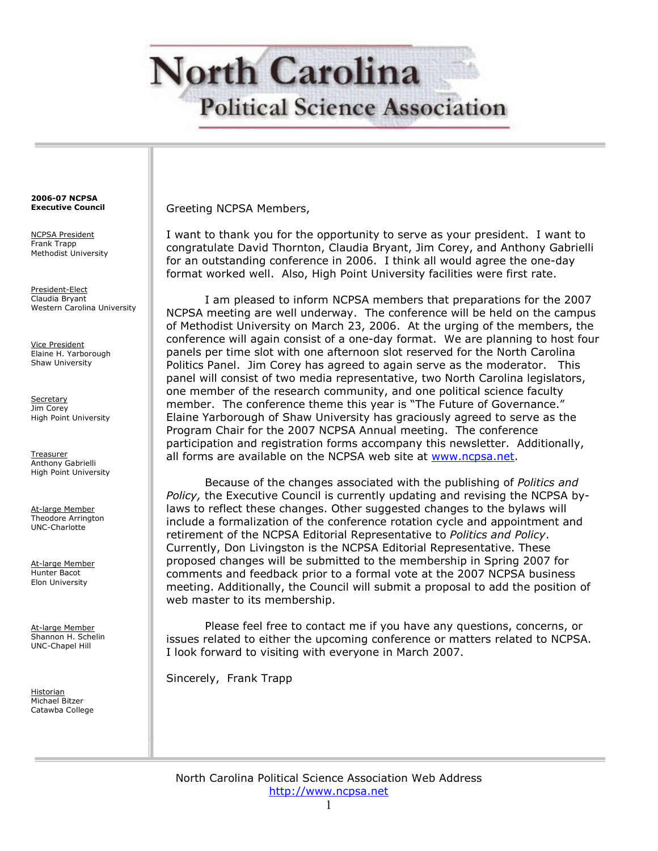#### 2006-07 NCPSA Executive Council

NCPSA President Frank Trapp Methodist University

President-Elect Claudia Bryant Western Carolina University

Vice President Elaine H. Yarborough Shaw University

**Secretary** Jim Corey High Point University

Treasurer Anthony Gabrielli High Point University

At-large Member Theodore Arrington UNC-Charlotte

At-large Member Hunter Bacot Elon University

At-large Member Shannon H. Schelin UNC-Chapel Hill

**Historian** Michael Bitzer Catawba College Greeting NCPSA Members,

I want to thank you for the opportunity to serve as your president. I want to congratulate David Thornton, Claudia Bryant, Jim Corey, and Anthony Gabrielli for an outstanding conference in 2006. I think all would agree the one-day format worked well. Also, High Point University facilities were first rate.

I am pleased to inform NCPSA members that preparations for the 2007 NCPSA meeting are well underway. The conference will be held on the campus of Methodist University on March 23, 2006. At the urging of the members, the conference will again consist of a one-day format. We are planning to host four panels per time slot with one afternoon slot reserved for the North Carolina Politics Panel. Jim Corey has agreed to again serve as the moderator. This panel will consist of two media representative, two North Carolina legislators, one member of the research community, and one political science faculty member. The conference theme this year is "The Future of Governance." Elaine Yarborough of Shaw University has graciously agreed to serve as the Program Chair for the 2007 NCPSA Annual meeting. The conference participation and registration forms accompany this newsletter. Additionally, all forms are available on the NCPSA web site at www.ncpsa.net.

Because of the changes associated with the publishing of Politics and Policy, the Executive Council is currently updating and revising the NCPSA bylaws to reflect these changes. Other suggested changes to the bylaws will include a formalization of the conference rotation cycle and appointment and retirement of the NCPSA Editorial Representative to Politics and Policy. Currently, Don Livingston is the NCPSA Editorial Representative. These proposed changes will be submitted to the membership in Spring 2007 for comments and feedback prior to a formal vote at the 2007 NCPSA business meeting. Additionally, the Council will submit a proposal to add the position of web master to its membership.

Please feel free to contact me if you have any questions, concerns, or issues related to either the upcoming conference or matters related to NCPSA. I look forward to visiting with everyone in March 2007.

Sincerely, Frank Trapp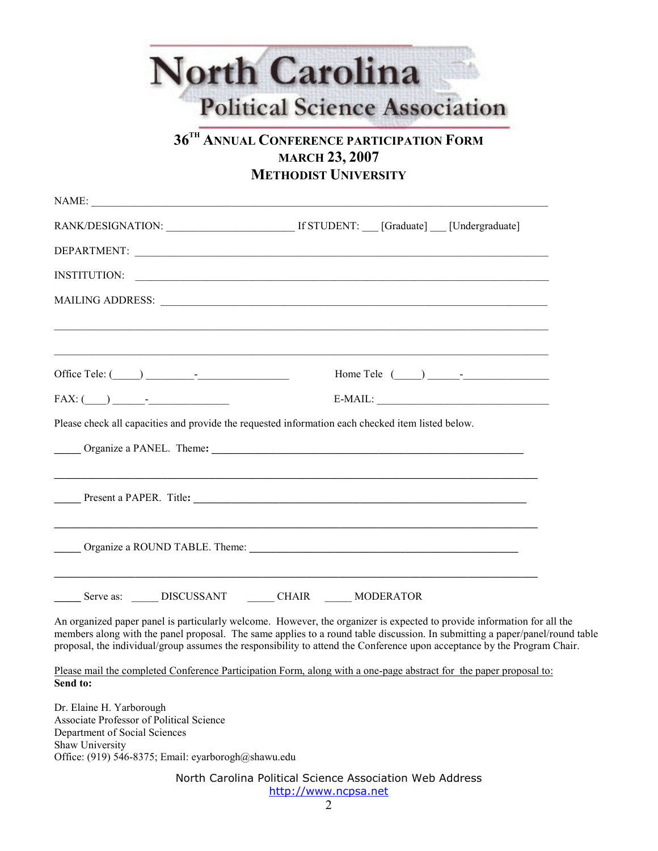#### $36<sup>TH</sup>$  ANNUAL CONFERENCE PARTICIPATION FORM MARCH 23, 2007 METHODIST UNIVERSITY

| NAME:                                                                                             |                                                                                                                                                                                                                                                                                                                                                                                     |
|---------------------------------------------------------------------------------------------------|-------------------------------------------------------------------------------------------------------------------------------------------------------------------------------------------------------------------------------------------------------------------------------------------------------------------------------------------------------------------------------------|
|                                                                                                   |                                                                                                                                                                                                                                                                                                                                                                                     |
|                                                                                                   |                                                                                                                                                                                                                                                                                                                                                                                     |
|                                                                                                   | INSTITUTION:                                                                                                                                                                                                                                                                                                                                                                        |
|                                                                                                   |                                                                                                                                                                                                                                                                                                                                                                                     |
|                                                                                                   |                                                                                                                                                                                                                                                                                                                                                                                     |
| Office Tele: $(\_\_\_\_\_\_\_\_$                                                                  | ,我们也不能在这里的人,我们也不能在这里的人,我们也不能在这里的人,我们也不能在这里的人,我们也不能在这里的人,我们也不能在这里的人,我们也不能在这里的人,我们也                                                                                                                                                                                                                                                                                                   |
|                                                                                                   |                                                                                                                                                                                                                                                                                                                                                                                     |
| $FAX: (\underline{\hspace{1cm}}) \underline{\hspace{1cm}} \underline{\hspace{1cm}}$               | $E-MAIL:$                                                                                                                                                                                                                                                                                                                                                                           |
| Please check all capacities and provide the requested information each checked item listed below. |                                                                                                                                                                                                                                                                                                                                                                                     |
|                                                                                                   |                                                                                                                                                                                                                                                                                                                                                                                     |
|                                                                                                   |                                                                                                                                                                                                                                                                                                                                                                                     |
|                                                                                                   |                                                                                                                                                                                                                                                                                                                                                                                     |
|                                                                                                   |                                                                                                                                                                                                                                                                                                                                                                                     |
|                                                                                                   |                                                                                                                                                                                                                                                                                                                                                                                     |
|                                                                                                   |                                                                                                                                                                                                                                                                                                                                                                                     |
| Serve as: ______ DISCUSSANT _______ CHAIR ______ MODERATOR                                        |                                                                                                                                                                                                                                                                                                                                                                                     |
|                                                                                                   | An organized paper panel is particularly welcome. However, the organizer is expected to provide information for all the<br>members along with the panel proposal. The same applies to a round table discussion. In submitting a paper/panel/round table<br>proposal, the individual/group assumes the responsibility to attend the Conference upon acceptance by the Program Chair. |

Please mail the completed Conference Participation Form, along with a one-page abstract for the paper proposal to: Send to:

Dr. Elaine H. Yarborough Associate Professor of Political Science Department of Social Sciences Shaw University Office: (919) 546-8375; Email: eyarborogh@shawu.edu

> North Carolina Political Science Association Web Address http://www.ncpsa.net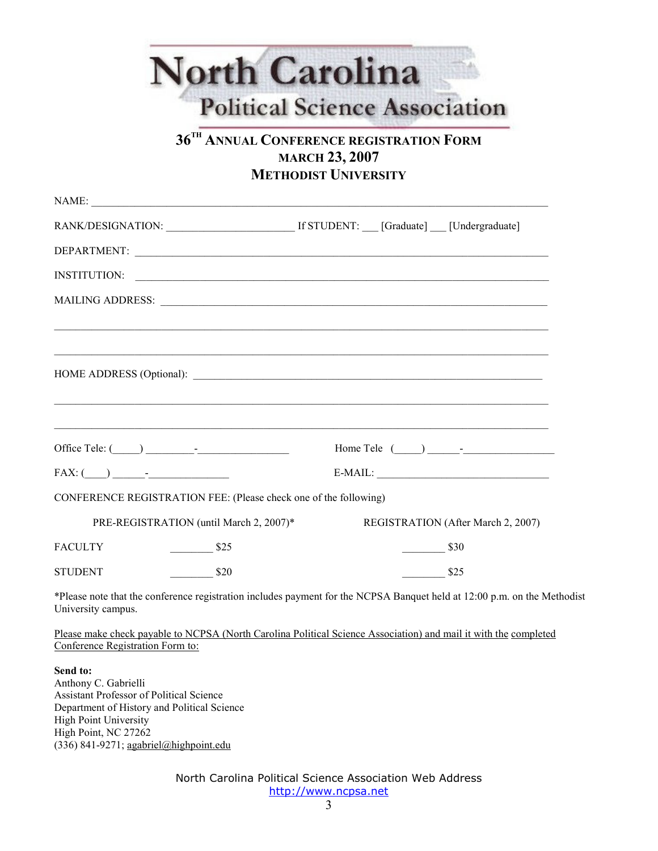#### $36<sup>TH</sup>$  ANNUAL CONFERENCE REGISTRATION FORM MARCH 23, 2007 METHODIST UNIVERSITY

| <b>INSTITUTION:</b>                                                                                                                                                                                                                              | <u> Alexandro de la contrada de la contrada de la contrada de la contrada de la contrada de la contrada de la co</u> |
|--------------------------------------------------------------------------------------------------------------------------------------------------------------------------------------------------------------------------------------------------|----------------------------------------------------------------------------------------------------------------------|
|                                                                                                                                                                                                                                                  |                                                                                                                      |
|                                                                                                                                                                                                                                                  |                                                                                                                      |
|                                                                                                                                                                                                                                                  |                                                                                                                      |
|                                                                                                                                                                                                                                                  |                                                                                                                      |
|                                                                                                                                                                                                                                                  | ,我们也不能在这里的人,我们也不能在这里的人,我们也不能在这里的人,我们也不能在这里的人,我们也不能在这里的人,我们也不能在这里的人,我们也不能在这里的人,我们也                                    |
|                                                                                                                                                                                                                                                  | ,我们也不能在这里的人,我们也不能在这里的人,我们也不能在这里的人,我们也不能在这里的人,我们也不能在这里的人,我们也不能在这里的人,我们也不能在这里的人,我们也                                    |
|                                                                                                                                                                                                                                                  |                                                                                                                      |
|                                                                                                                                                                                                                                                  | Home Tele $(\_\_\_\_\_\_\_$                                                                                          |
|                                                                                                                                                                                                                                                  |                                                                                                                      |
|                                                                                                                                                                                                                                                  |                                                                                                                      |
| Office Tele: $\qquad \qquad$<br>$FAX: (\hspace{1cm} \underline{\hspace{1cm}}) \underline{\hspace{1cm}} \underbrace{\hspace{1cm}}$<br>CONFERENCE REGISTRATION FEE: (Please check one of the following)<br>PRE-REGISTRATION (until March 2, 2007)* | REGISTRATION (After March 2, 2007)                                                                                   |
| <b>FACULTY</b><br>$\frac{\ }{25}$                                                                                                                                                                                                                | $\frac{\ }{2}$ \$30                                                                                                  |

Please make check payable to NCPSA (North Carolina Political Science Association) and mail it with the completed Conference Registration Form to:

Send to: Anthony C. Gabrielli Assistant Professor of Political Science Department of History and Political Science High Point University High Point, NC 27262  $(336)$  841-9271; agabriel@highpoint.edu

> North Carolina Political Science Association Web Address http://www.ncpsa.net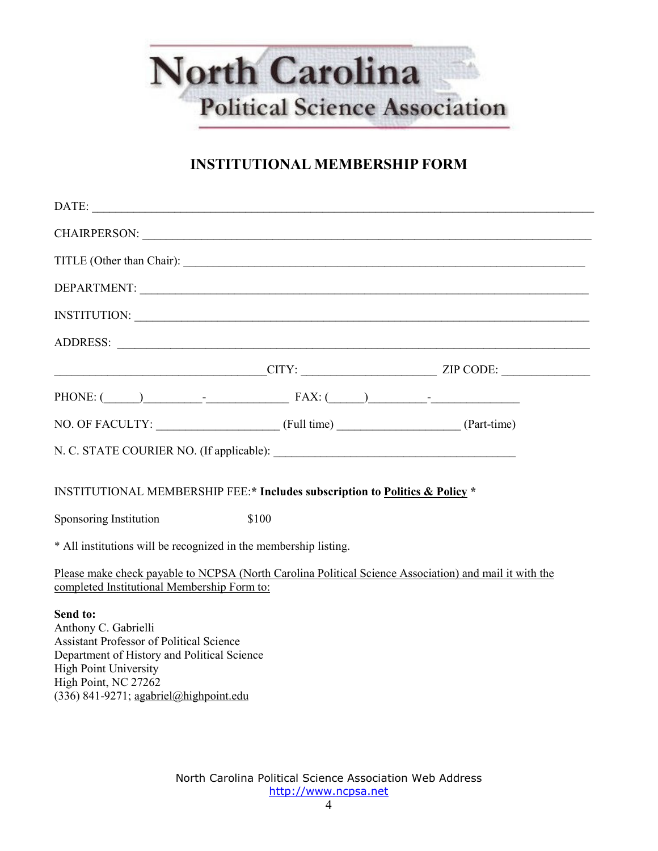

### INSTITUTIONAL MEMBERSHIP FORM

| DATE:                                                                                                                                                                                      |       |                           |
|--------------------------------------------------------------------------------------------------------------------------------------------------------------------------------------------|-------|---------------------------|
|                                                                                                                                                                                            |       |                           |
|                                                                                                                                                                                            |       | TITLE (Other than Chair): |
|                                                                                                                                                                                            |       | DEPARTMENT:               |
|                                                                                                                                                                                            |       |                           |
|                                                                                                                                                                                            |       |                           |
|                                                                                                                                                                                            |       | $CITY:$ ZIP CODE:         |
|                                                                                                                                                                                            |       |                           |
|                                                                                                                                                                                            |       |                           |
|                                                                                                                                                                                            |       |                           |
| INSTITUTIONAL MEMBERSHIP FEE:* Includes subscription to Politics & Policy *                                                                                                                |       |                           |
| Sponsoring Institution                                                                                                                                                                     | \$100 |                           |
| * All institutions will be recognized in the membership listing.                                                                                                                           |       |                           |
| Please make check payable to NCPSA (North Carolina Political Science Association) and mail it with the<br>completed Institutional Membership Form to:                                      |       |                           |
| Send to:<br>Anthony C. Gabrielli<br><b>Assistant Professor of Political Science</b><br>Department of History and Political Science<br><b>High Point University</b><br>High Point, NC 27262 |       |                           |

(336) 841-9271; agabriel@highpoint.edu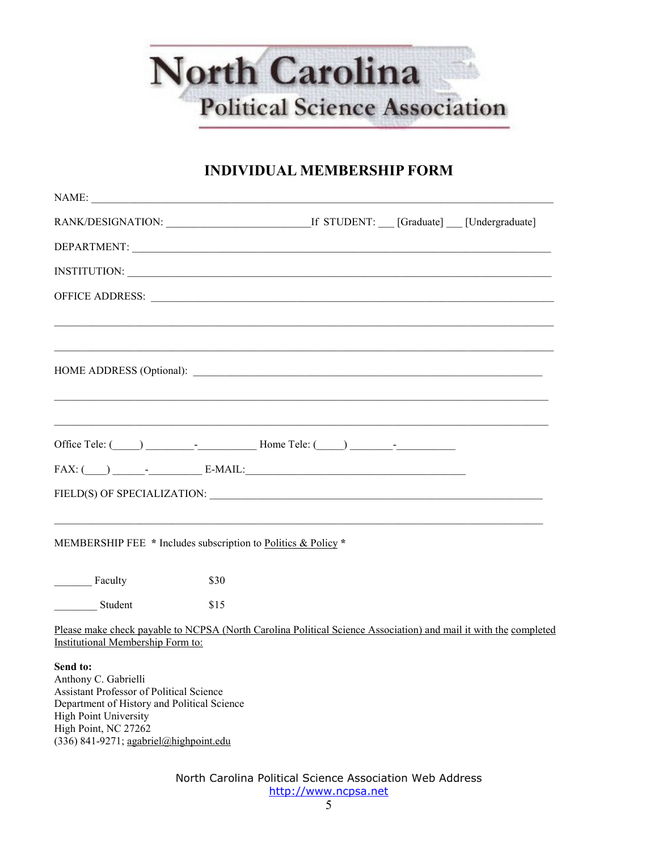#### INDIVIDUAL MEMBERSHIP FORM

|                                                                                                                                                                                                                                 | RANK/DESIGNATION: If STUDENT: [Graduate] [Undergraduate]                                                                                                                                                                       |
|---------------------------------------------------------------------------------------------------------------------------------------------------------------------------------------------------------------------------------|--------------------------------------------------------------------------------------------------------------------------------------------------------------------------------------------------------------------------------|
|                                                                                                                                                                                                                                 |                                                                                                                                                                                                                                |
|                                                                                                                                                                                                                                 | INSTITUTION:                                                                                                                                                                                                                   |
|                                                                                                                                                                                                                                 | OFFICE ADDRESS: New York Contract the Contract of the Contract of the Contract of the Contract of the Contract of the Contract of the Contract of the Contract of the Contract of the Contract of the Contract of the Contract |
|                                                                                                                                                                                                                                 |                                                                                                                                                                                                                                |
|                                                                                                                                                                                                                                 |                                                                                                                                                                                                                                |
|                                                                                                                                                                                                                                 | Office Tele: ( ) Thome Tele: ( )                                                                                                                                                                                               |
|                                                                                                                                                                                                                                 | $FAX: (\hspace{5mm} \underline{\hspace{5mm}}) \hspace{5mm} \underline{\hspace{5mm}}.$                                                                                                                                          |
|                                                                                                                                                                                                                                 |                                                                                                                                                                                                                                |
| MEMBERSHIP FEE * Includes subscription to Politics & Policy *                                                                                                                                                                   |                                                                                                                                                                                                                                |
| \$30<br>Faculty                                                                                                                                                                                                                 |                                                                                                                                                                                                                                |
| Student<br>\$15                                                                                                                                                                                                                 |                                                                                                                                                                                                                                |
| Institutional Membership Form to:                                                                                                                                                                                               | Please make check payable to NCPSA (North Carolina Political Science Association) and mail it with the completed                                                                                                               |
| Send to:<br>Anthony C. Gabrielli<br>Assistant Professor of Political Science<br>Department of History and Political Science<br><b>High Point University</b><br>High Point, NC 27262<br>$(336)$ 841-9271; agabriel@highpoint.edu |                                                                                                                                                                                                                                |

North Carolina Political Science Association Web Address http://www.ncpsa.net